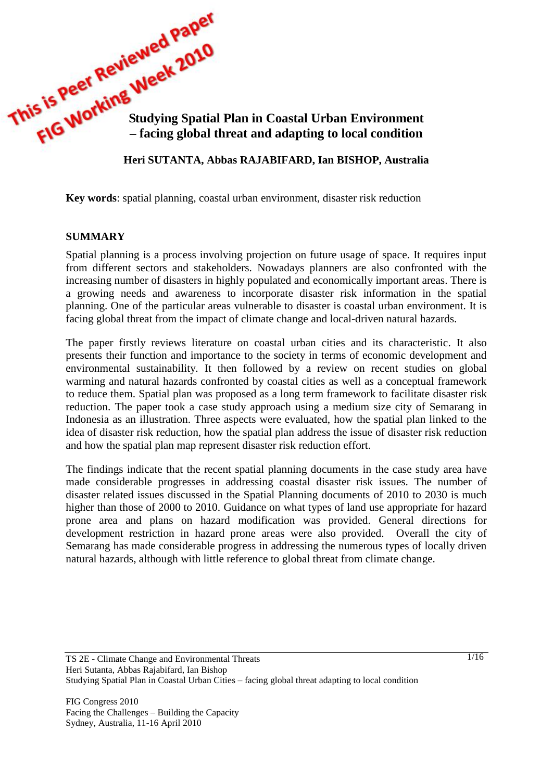This is Peer Studying Spatial Plan in Coastal Urban Environment<br>
FIG WORKING Studying Spatial Plan in Coastal Urban Environment<br>
FIG WORKING Studying Spatial Plan in Coastal Urban Environment **– facing global threat and adapting to local condition**

**Heri SUTANTA, Abbas RAJABIFARD, Ian BISHOP, Australia**

**Key words**: spatial planning, coastal urban environment, disaster risk reduction

#### **SUMMARY**

Spatial planning is a process involving projection on future usage of space. It requires input from different sectors and stakeholders. Nowadays planners are also confronted with the increasing number of disasters in highly populated and economically important areas. There is a growing needs and awareness to incorporate disaster risk information in the spatial planning. One of the particular areas vulnerable to disaster is coastal urban environment. It is facing global threat from the impact of climate change and local-driven natural hazards.

The paper firstly reviews literature on coastal urban cities and its characteristic. It also presents their function and importance to the society in terms of economic development and environmental sustainability. It then followed by a review on recent studies on global warming and natural hazards confronted by coastal cities as well as a conceptual framework to reduce them. Spatial plan was proposed as a long term framework to facilitate disaster risk reduction. The paper took a case study approach using a medium size city of Semarang in Indonesia as an illustration. Three aspects were evaluated, how the spatial plan linked to the idea of disaster risk reduction, how the spatial plan address the issue of disaster risk reduction and how the spatial plan map represent disaster risk reduction effort.

The findings indicate that the recent spatial planning documents in the case study area have made considerable progresses in addressing coastal disaster risk issues. The number of disaster related issues discussed in the Spatial Planning documents of 2010 to 2030 is much higher than those of 2000 to 2010. Guidance on what types of land use appropriate for hazard prone area and plans on hazard modification was provided. General directions for development restriction in hazard prone areas were also provided. Overall the city of Semarang has made considerable progress in addressing the numerous types of locally driven natural hazards, although with little reference to global threat from climate change.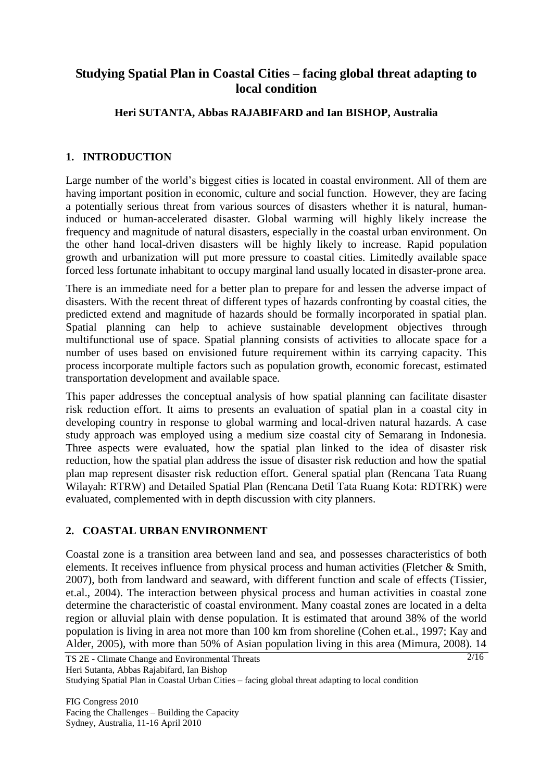# **Studying Spatial Plan in Coastal Cities – facing global threat adapting to local condition**

### **Heri SUTANTA, Abbas RAJABIFARD and Ian BISHOP, Australia**

### **1. INTRODUCTION**

Large number of the world's biggest cities is located in coastal environment. All of them are having important position in economic, culture and social function. However, they are facing a potentially serious threat from various sources of disasters whether it is natural, humaninduced or human-accelerated disaster. Global warming will highly likely increase the frequency and magnitude of natural disasters, especially in the coastal urban environment. On the other hand local-driven disasters will be highly likely to increase. Rapid population growth and urbanization will put more pressure to coastal cities. Limitedly available space forced less fortunate inhabitant to occupy marginal land usually located in disaster-prone area.

There is an immediate need for a better plan to prepare for and lessen the adverse impact of disasters. With the recent threat of different types of hazards confronting by coastal cities, the predicted extend and magnitude of hazards should be formally incorporated in spatial plan. Spatial planning can help to achieve sustainable development objectives through multifunctional use of space. Spatial planning consists of activities to allocate space for a number of uses based on envisioned future requirement within its carrying capacity. This process incorporate multiple factors such as population growth, economic forecast, estimated transportation development and available space.

This paper addresses the conceptual analysis of how spatial planning can facilitate disaster risk reduction effort. It aims to presents an evaluation of spatial plan in a coastal city in developing country in response to global warming and local-driven natural hazards. A case study approach was employed using a medium size coastal city of Semarang in Indonesia. Three aspects were evaluated, how the spatial plan linked to the idea of disaster risk reduction, how the spatial plan address the issue of disaster risk reduction and how the spatial plan map represent disaster risk reduction effort. General spatial plan (Rencana Tata Ruang Wilayah: RTRW) and Detailed Spatial Plan (Rencana Detil Tata Ruang Kota: RDTRK) were evaluated, complemented with in depth discussion with city planners.

### **2. COASTAL URBAN ENVIRONMENT**

Coastal zone is a transition area between land and sea, and possesses characteristics of both elements. It receives influence from physical process and human activities (Fletcher & Smith, 2007), both from landward and seaward, with different function and scale of effects (Tissier, et.al., 2004). The interaction between physical process and human activities in coastal zone determine the characteristic of coastal environment. Many coastal zones are located in a delta region or alluvial plain with dense population. It is estimated that around 38% of the world population is living in area not more than 100 km from shoreline (Cohen et.al., 1997; Kay and Alder, 2005), with more than 50% of Asian population living in this area (Mimura, 2008). 14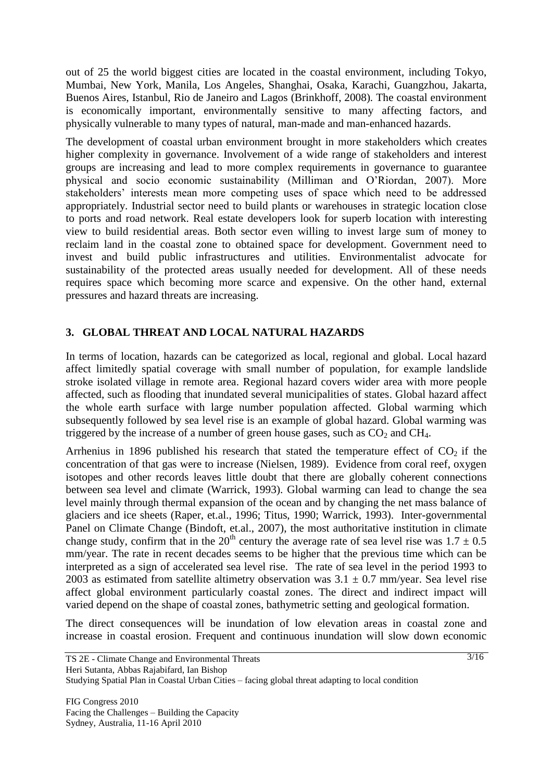out of 25 the world biggest cities are located in the coastal environment, including Tokyo, Mumbai, New York, Manila, Los Angeles, Shanghai, Osaka, Karachi, Guangzhou, Jakarta, Buenos Aires, Istanbul, Rio de Janeiro and Lagos (Brinkhoff, 2008)*.* The coastal environment is economically important, environmentally sensitive to many affecting factors, and physically vulnerable to many types of natural, man-made and man-enhanced hazards.

The development of coastal urban environment brought in more stakeholders which creates higher complexity in governance. Involvement of a wide range of stakeholders and interest groups are increasing and lead to more complex requirements in governance to guarantee physical and socio economic sustainability (Milliman and O"Riordan, 2007). More stakeholders" interests mean more competing uses of space which need to be addressed appropriately. Industrial sector need to build plants or warehouses in strategic location close to ports and road network. Real estate developers look for superb location with interesting view to build residential areas. Both sector even willing to invest large sum of money to reclaim land in the coastal zone to obtained space for development. Government need to invest and build public infrastructures and utilities. Environmentalist advocate for sustainability of the protected areas usually needed for development. All of these needs requires space which becoming more scarce and expensive. On the other hand, external pressures and hazard threats are increasing.

### **3. GLOBAL THREAT AND LOCAL NATURAL HAZARDS**

In terms of location, hazards can be categorized as local, regional and global. Local hazard affect limitedly spatial coverage with small number of population, for example landslide stroke isolated village in remote area. Regional hazard covers wider area with more people affected, such as flooding that inundated several municipalities of states. Global hazard affect the whole earth surface with large number population affected. Global warming which subsequently followed by sea level rise is an example of global hazard. Global warming was triggered by the increase of a number of green house gases, such as  $CO<sub>2</sub>$  and  $CH<sub>4</sub>$ .

Arrhenius in 1896 published his research that stated the temperature effect of  $CO<sub>2</sub>$  if the concentration of that gas were to increase (Nielsen, 1989). Evidence from coral reef, oxygen isotopes and other records leaves little doubt that there are globally coherent connections between sea level and climate (Warrick, 1993). Global warming can lead to change the sea level mainly through thermal expansion of the ocean and by changing the net mass balance of glaciers and ice sheets (Raper, et.al., 1996; Titus, 1990; Warrick, 1993). Inter-governmental Panel on Climate Change (Bindoft, et.al., 2007), the most authoritative institution in climate change study, confirm that in the 20<sup>th</sup> century the average rate of sea level rise was  $1.7 \pm 0.5$ mm/year. The rate in recent decades seems to be higher that the previous time which can be interpreted as a sign of accelerated sea level rise. The rate of sea level in the period 1993 to 2003 as estimated from satellite altimetry observation was  $3.1 \pm 0.7$  mm/year. Sea level rise affect global environment particularly coastal zones. The direct and indirect impact will varied depend on the shape of coastal zones, bathymetric setting and geological formation.

The direct consequences will be inundation of low elevation areas in coastal zone and increase in coastal erosion. Frequent and continuous inundation will slow down economic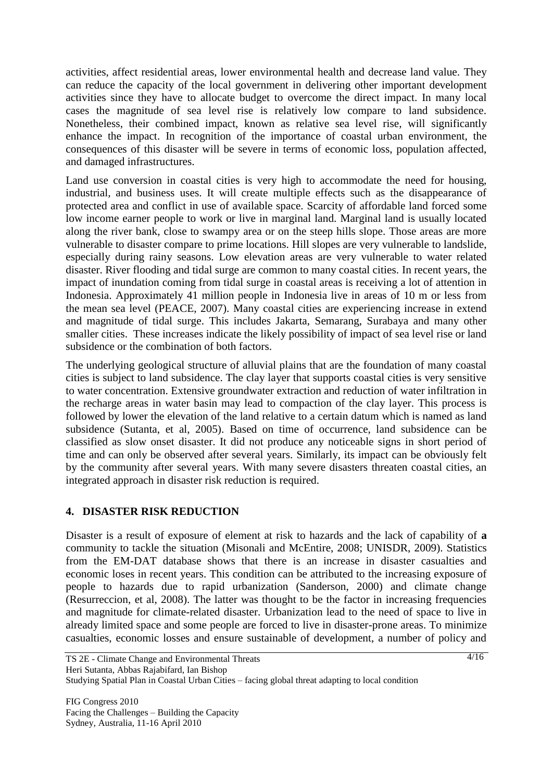activities, affect residential areas, lower environmental health and decrease land value. They can reduce the capacity of the local government in delivering other important development activities since they have to allocate budget to overcome the direct impact. In many local cases the magnitude of sea level rise is relatively low compare to land subsidence. Nonetheless, their combined impact, known as relative sea level rise, will significantly enhance the impact. In recognition of the importance of coastal urban environment, the consequences of this disaster will be severe in terms of economic loss, population affected, and damaged infrastructures.

Land use conversion in coastal cities is very high to accommodate the need for housing, industrial, and business uses. It will create multiple effects such as the disappearance of protected area and conflict in use of available space. Scarcity of affordable land forced some low income earner people to work or live in marginal land. Marginal land is usually located along the river bank, close to swampy area or on the steep hills slope. Those areas are more vulnerable to disaster compare to prime locations. Hill slopes are very vulnerable to landslide, especially during rainy seasons. Low elevation areas are very vulnerable to water related disaster. River flooding and tidal surge are common to many coastal cities. In recent years, the impact of inundation coming from tidal surge in coastal areas is receiving a lot of attention in Indonesia. Approximately 41 million people in Indonesia live in areas of 10 m or less from the mean sea level (PEACE, 2007). Many coastal cities are experiencing increase in extend and magnitude of tidal surge. This includes Jakarta, Semarang, Surabaya and many other smaller cities. These increases indicate the likely possibility of impact of sea level rise or land subsidence or the combination of both factors.

The underlying geological structure of alluvial plains that are the foundation of many coastal cities is subject to land subsidence. The clay layer that supports coastal cities is very sensitive to water concentration. Extensive groundwater extraction and reduction of water infiltration in the recharge areas in water basin may lead to compaction of the clay layer. This process is followed by lower the elevation of the land relative to a certain datum which is named as land subsidence (Sutanta, et al, 2005). Based on time of occurrence, land subsidence can be classified as slow onset disaster. It did not produce any noticeable signs in short period of time and can only be observed after several years. Similarly, its impact can be obviously felt by the community after several years. With many severe disasters threaten coastal cities, an integrated approach in disaster risk reduction is required.

# **4. DISASTER RISK REDUCTION**

Disaster is a result of exposure of element at risk to hazards and the lack of capability of **a** community to tackle the situation (Misonali and McEntire, 2008; UNISDR, 2009). Statistics from the EM-DAT database shows that there is an increase in disaster casualties and economic loses in recent years. This condition can be attributed to the increasing exposure of people to hazards due to rapid urbanization (Sanderson, 2000) and climate change (Resurreccion, et al, 2008). The latter was thought to be the factor in increasing frequencies and magnitude for climate-related disaster. Urbanization lead to the need of space to live in already limited space and some people are forced to live in disaster-prone areas. To minimize casualties, economic losses and ensure sustainable of development, a number of policy and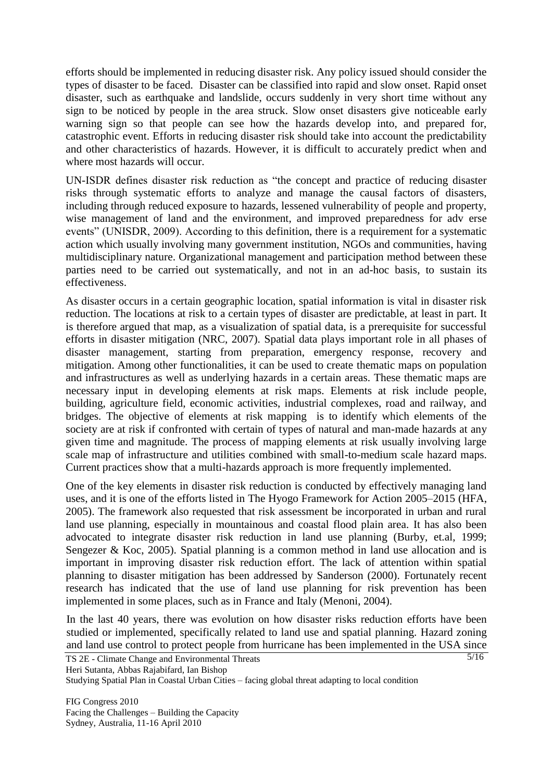efforts should be implemented in reducing disaster risk. Any policy issued should consider the types of disaster to be faced. Disaster can be classified into rapid and slow onset. Rapid onset disaster, such as earthquake and landslide, occurs suddenly in very short time without any sign to be noticed by people in the area struck. Slow onset disasters give noticeable early warning sign so that people can see how the hazards develop into, and prepared for, catastrophic event. Efforts in reducing disaster risk should take into account the predictability and other characteristics of hazards. However, it is difficult to accurately predict when and where most hazards will occur.

UN-ISDR defines disaster risk reduction as "the concept and practice of reducing disaster risks through systematic efforts to analyze and manage the causal factors of disasters, including through reduced exposure to hazards, lessened vulnerability of people and property, wise management of land and the environment, and improved preparedness for adv erse events" (UNISDR, 2009). According to this definition, there is a requirement for a systematic action which usually involving many government institution, NGOs and communities, having multidisciplinary nature. Organizational management and participation method between these parties need to be carried out systematically, and not in an ad-hoc basis, to sustain its effectiveness.

As disaster occurs in a certain geographic location, spatial information is vital in disaster risk reduction. The locations at risk to a certain types of disaster are predictable, at least in part. It is therefore argued that map, as a visualization of spatial data, is a prerequisite for successful efforts in disaster mitigation (NRC, 2007). Spatial data plays important role in all phases of disaster management, starting from preparation, emergency response, recovery and mitigation. Among other functionalities, it can be used to create thematic maps on population and infrastructures as well as underlying hazards in a certain areas. These thematic maps are necessary input in developing elements at risk maps. Elements at risk include people, building, agriculture field, economic activities, industrial complexes, road and railway, and bridges. The objective of elements at risk mapping is to identify which elements of the society are at risk if confronted with certain of types of natural and man-made hazards at any given time and magnitude. The process of mapping elements at risk usually involving large scale map of infrastructure and utilities combined with small-to-medium scale hazard maps. Current practices show that a multi-hazards approach is more frequently implemented.

One of the key elements in disaster risk reduction is conducted by effectively managing land uses, and it is one of the efforts listed in The Hyogo Framework for Action 2005–2015 (HFA, 2005). The framework also requested that risk assessment be incorporated in urban and rural land use planning, especially in mountainous and coastal flood plain area. It has also been advocated to integrate disaster risk reduction in land use planning (Burby, et.al, 1999; Sengezer & Koc, 2005). Spatial planning is a common method in land use allocation and is important in improving disaster risk reduction effort. The lack of attention within spatial planning to disaster mitigation has been addressed by Sanderson (2000). Fortunately recent research has indicated that the use of land use planning for risk prevention has been implemented in some places, such as in France and Italy (Menoni, 2004).

In the last 40 years, there was evolution on how disaster risks reduction efforts have been studied or implemented, specifically related to land use and spatial planning. Hazard zoning and land use control to protect people from hurricane has been implemented in the USA since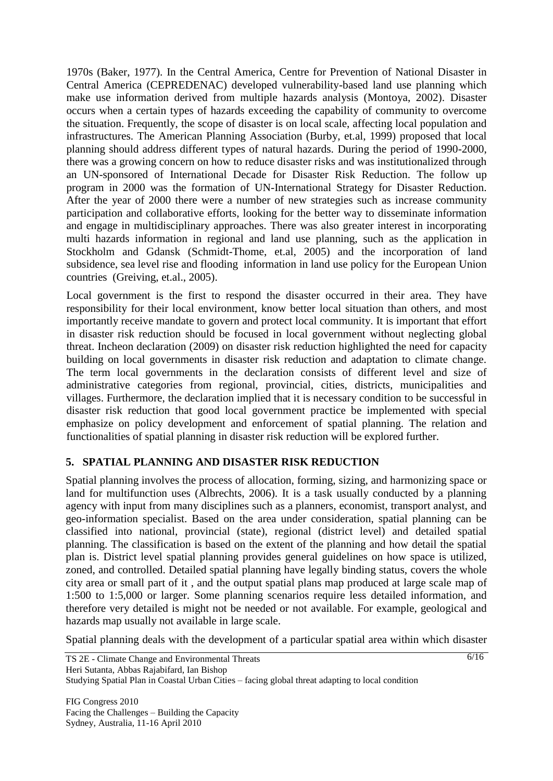1970s (Baker, 1977). In the Central America, Centre for Prevention of National Disaster in Central America (CEPREDENAC) developed vulnerability-based land use planning which make use information derived from multiple hazards analysis (Montoya, 2002). Disaster occurs when a certain types of hazards exceeding the capability of community to overcome the situation. Frequently, the scope of disaster is on local scale, affecting local population and infrastructures. The American Planning Association (Burby, et.al, 1999) proposed that local planning should address different types of natural hazards. During the period of 1990-2000, there was a growing concern on how to reduce disaster risks and was institutionalized through an UN-sponsored of International Decade for Disaster Risk Reduction. The follow up program in 2000 was the formation of UN-International Strategy for Disaster Reduction. After the year of 2000 there were a number of new strategies such as increase community participation and collaborative efforts, looking for the better way to disseminate information and engage in multidisciplinary approaches. There was also greater interest in incorporating multi hazards information in regional and land use planning, such as the application in Stockholm and Gdansk (Schmidt-Thome, et.al, 2005) and the incorporation of land subsidence, sea level rise and flooding information in land use policy for the European Union countries (Greiving, et.al., 2005).

Local government is the first to respond the disaster occurred in their area. They have responsibility for their local environment, know better local situation than others, and most importantly receive mandate to govern and protect local community. It is important that effort in disaster risk reduction should be focused in local government without neglecting global threat. Incheon declaration (2009) on disaster risk reduction highlighted the need for capacity building on local governments in disaster risk reduction and adaptation to climate change. The term local governments in the declaration consists of different level and size of administrative categories from regional, provincial, cities, districts, municipalities and villages. Furthermore, the declaration implied that it is necessary condition to be successful in disaster risk reduction that good local government practice be implemented with special emphasize on policy development and enforcement of spatial planning. The relation and functionalities of spatial planning in disaster risk reduction will be explored further.

# **5. SPATIAL PLANNING AND DISASTER RISK REDUCTION**

Spatial planning involves the process of allocation, forming, sizing, and harmonizing space or land for multifunction uses (Albrechts, 2006). It is a task usually conducted by a planning agency with input from many disciplines such as a planners, economist, transport analyst, and geo-information specialist. Based on the area under consideration, spatial planning can be classified into national, provincial (state), regional (district level) and detailed spatial planning. The classification is based on the extent of the planning and how detail the spatial plan is. District level spatial planning provides general guidelines on how space is utilized, zoned, and controlled. Detailed spatial planning have legally binding status, covers the whole city area or small part of it , and the output spatial plans map produced at large scale map of 1:500 to 1:5,000 or larger. Some planning scenarios require less detailed information, and therefore very detailed is might not be needed or not available. For example, geological and hazards map usually not available in large scale.

Spatial planning deals with the development of a particular spatial area within which disaster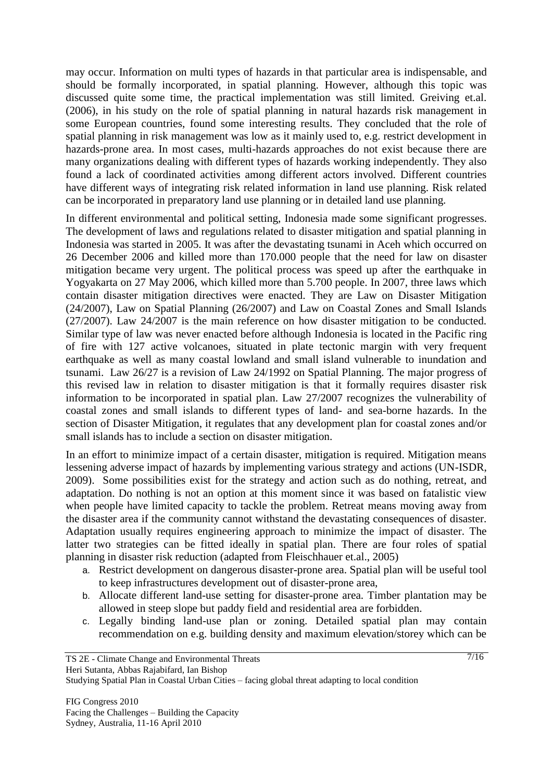may occur. Information on multi types of hazards in that particular area is indispensable, and should be formally incorporated, in spatial planning. However, although this topic was discussed quite some time, the practical implementation was still limited. Greiving et.al. (2006), in his study on the role of spatial planning in natural hazards risk management in some European countries, found some interesting results. They concluded that the role of spatial planning in risk management was low as it mainly used to, e.g. restrict development in hazards-prone area. In most cases, multi-hazards approaches do not exist because there are many organizations dealing with different types of hazards working independently. They also found a lack of coordinated activities among different actors involved. Different countries have different ways of integrating risk related information in land use planning. Risk related can be incorporated in preparatory land use planning or in detailed land use planning.

In different environmental and political setting, Indonesia made some significant progresses. The development of laws and regulations related to disaster mitigation and spatial planning in Indonesia was started in 2005. It was after the devastating tsunami in Aceh which occurred on 26 December 2006 and killed more than 170.000 people that the need for law on disaster mitigation became very urgent. The political process was speed up after the earthquake in Yogyakarta on 27 May 2006, which killed more than 5.700 people. In 2007, three laws which contain disaster mitigation directives were enacted. They are Law on Disaster Mitigation (24/2007), Law on Spatial Planning (26/2007) and Law on Coastal Zones and Small Islands (27/2007). Law 24/2007 is the main reference on how disaster mitigation to be conducted. Similar type of law was never enacted before although Indonesia is located in the Pacific ring of fire with 127 active volcanoes, situated in plate tectonic margin with very frequent earthquake as well as many coastal lowland and small island vulnerable to inundation and tsunami. Law 26/27 is a revision of Law 24/1992 on Spatial Planning. The major progress of this revised law in relation to disaster mitigation is that it formally requires disaster risk information to be incorporated in spatial plan. Law 27/2007 recognizes the vulnerability of coastal zones and small islands to different types of land- and sea-borne hazards. In the section of Disaster Mitigation, it regulates that any development plan for coastal zones and/or small islands has to include a section on disaster mitigation.

In an effort to minimize impact of a certain disaster, mitigation is required. Mitigation means lessening adverse impact of hazards by implementing various strategy and actions (UN-ISDR, 2009). Some possibilities exist for the strategy and action such as do nothing, retreat, and adaptation. Do nothing is not an option at this moment since it was based on fatalistic view when people have limited capacity to tackle the problem. Retreat means moving away from the disaster area if the community cannot withstand the devastating consequences of disaster. Adaptation usually requires engineering approach to minimize the impact of disaster. The latter two strategies can be fitted ideally in spatial plan. There are four roles of spatial planning in disaster risk reduction (adapted from Fleischhauer et.al., 2005)

- a. Restrict development on dangerous disaster-prone area. Spatial plan will be useful tool to keep infrastructures development out of disaster-prone area,
- b. Allocate different land-use setting for disaster-prone area. Timber plantation may be allowed in steep slope but paddy field and residential area are forbidden.
- c. Legally binding land-use plan or zoning. Detailed spatial plan may contain recommendation on e.g. building density and maximum elevation/storey which can be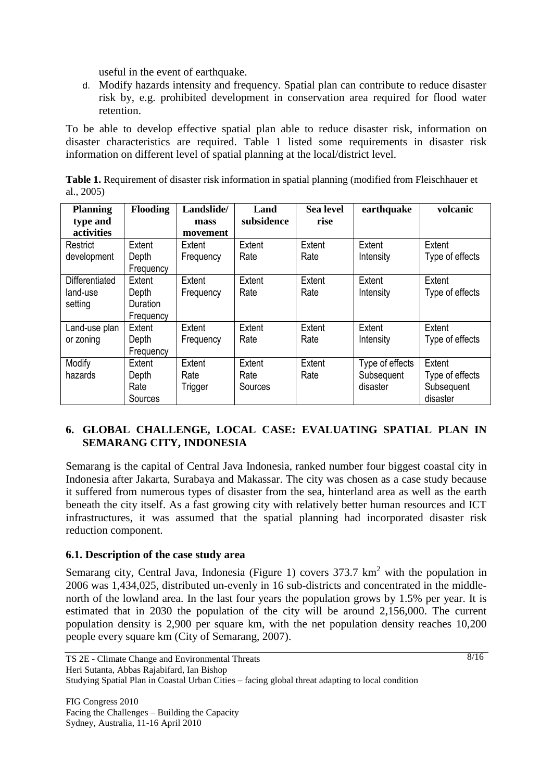useful in the event of earthquake.

d. Modify hazards intensity and frequency. Spatial plan can contribute to reduce disaster risk by, e.g. prohibited development in conservation area required for flood water retention.

To be able to develop effective spatial plan able to reduce disaster risk, information on disaster characteristics are required. Table 1 listed some requirements in disaster risk information on different level of spatial planning at the local/district level.

**Table 1.** Requirement of disaster risk information in spatial planning (modified from Fleischhauer et al., 2005)

| <b>Planning</b>       | <b>Flooding</b> | Landslide/ | Land       | <b>Sea level</b> | earthquake      | volcanic        |
|-----------------------|-----------------|------------|------------|------------------|-----------------|-----------------|
| type and              |                 | mass       | subsidence | rise             |                 |                 |
| activities            |                 | movement   |            |                  |                 |                 |
| Restrict              | Extent          | Extent     | Extent     | Extent           | Extent          | Extent          |
| development           | Depth           | Frequency  | Rate       | Rate             | Intensity       | Type of effects |
|                       | Frequency       |            |            |                  |                 |                 |
| <b>Differentiated</b> | Extent          | Extent     | Extent     | Extent           | Extent          | Extent          |
| land-use              | Depth           | Frequency  | Rate       | Rate             | Intensity       | Type of effects |
| setting               | Duration        |            |            |                  |                 |                 |
|                       | Frequency       |            |            |                  |                 |                 |
| Land-use plan         | Extent          | Extent     | Extent     | Extent           | Extent          | Extent          |
| or zoning             | Depth           | Frequency  | Rate       | Rate             | Intensity       | Type of effects |
|                       | Frequency       |            |            |                  |                 |                 |
| Modify                | Extent          | Extent     | Extent     | Extent           | Type of effects | Extent          |
| hazards               | Depth           | Rate       | Rate       | Rate             | Subsequent      | Type of effects |
|                       | Rate            | Trigger    | Sources    |                  | disaster        | Subsequent      |
|                       | Sources         |            |            |                  |                 | disaster        |

# **6. GLOBAL CHALLENGE, LOCAL CASE: EVALUATING SPATIAL PLAN IN SEMARANG CITY, INDONESIA**

Semarang is the capital of Central Java Indonesia, ranked number four biggest coastal city in Indonesia after Jakarta, Surabaya and Makassar. The city was chosen as a case study because it suffered from numerous types of disaster from the sea, hinterland area as well as the earth beneath the city itself. As a fast growing city with relatively better human resources and ICT infrastructures, it was assumed that the spatial planning had incorporated disaster risk reduction component.

### **6.1. Description of the case study area**

Semarang city, Central Java, Indonesia (Figure 1) covers  $373.7 \text{ km}^2$  with the population in 2006 was 1,434,025, distributed un-evenly in 16 sub-districts and concentrated in the middlenorth of the lowland area. In the last four years the population grows by 1.5% per year. It is estimated that in 2030 the population of the city will be around 2,156,000. The current population density is 2,900 per square km, with the net population density reaches 10,200 people every square km (City of Semarang, 2007).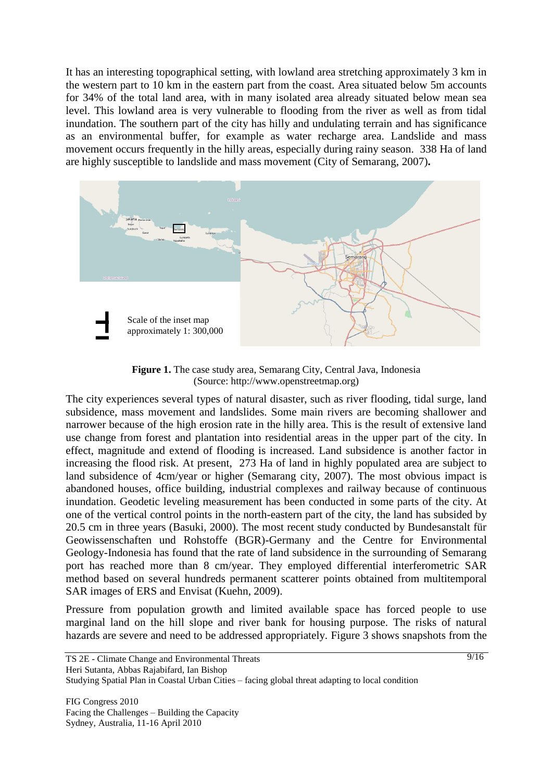It has an interesting topographical setting, with lowland area stretching approximately 3 km in the western part to 10 km in the eastern part from the coast. Area situated below 5m accounts for 34% of the total land area, with in many isolated area already situated below mean sea level. This lowland area is very vulnerable to flooding from the river as well as from tidal inundation. The southern part of the city has hilly and undulating terrain and has significance as an environmental buffer, for example as water recharge area. Landslide and mass movement occurs frequently in the hilly areas, especially during rainy season. 338 Ha of land are highly susceptible to landslide and mass movement (City of Semarang, 2007)**.**



**Figure 1.** The case study area, Semarang City, Central Java, Indonesia (Source: http://www.openstreetmap.org)

The city experiences several types of natural disaster, such as river flooding, tidal surge, land subsidence, mass movement and landslides. Some main rivers are becoming shallower and narrower because of the high erosion rate in the hilly area. This is the result of extensive land use change from forest and plantation into residential areas in the upper part of the city. In effect, magnitude and extend of flooding is increased. Land subsidence is another factor in increasing the flood risk. At present, 273 Ha of land in highly populated area are subject to land subsidence of 4cm/year or higher (Semarang city, 2007). The most obvious impact is abandoned houses, office building, industrial complexes and railway because of continuous inundation. Geodetic leveling measurement has been conducted in some parts of the city. At one of the vertical control points in the north-eastern part of the city, the land has subsided by 20.5 cm in three years (Basuki, 2000). The most recent study conducted by Bundesanstalt für Geowissenschaften und Rohstoffe (BGR)-Germany and the Centre for Environmental Geology-Indonesia has found that the rate of land subsidence in the surrounding of Semarang port has reached more than 8 cm/year. They employed differential interferometric SAR method based on several hundreds permanent scatterer points obtained from multitemporal SAR images of ERS and Envisat (Kuehn, 2009).

Pressure from population growth and limited available space has forced people to use marginal land on the hill slope and river bank for housing purpose. The risks of natural hazards are severe and need to be addressed appropriately. Figure 3 shows snapshots from the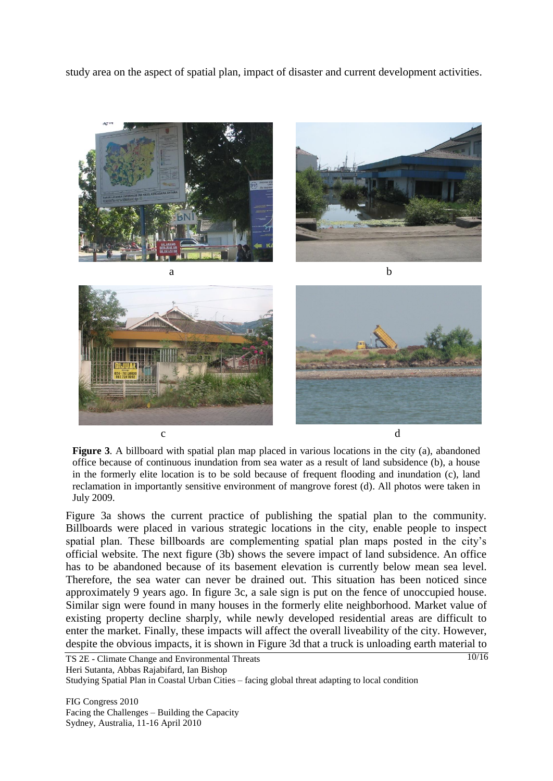study area on the aspect of spatial plan, impact of disaster and current development activities.



**Figure 3**. A billboard with spatial plan map placed in various locations in the city (a), abandoned office because of continuous inundation from sea water as a result of land subsidence (b), a house in the formerly elite location is to be sold because of frequent flooding and inundation (c), land reclamation in importantly sensitive environment of mangrove forest (d). All photos were taken in July 2009.

Figure 3a shows the current practice of publishing the spatial plan to the community. Billboards were placed in various strategic locations in the city, enable people to inspect spatial plan. These billboards are complementing spatial plan maps posted in the city"s official website. The next figure (3b) shows the severe impact of land subsidence. An office has to be abandoned because of its basement elevation is currently below mean sea level. Therefore, the sea water can never be drained out. This situation has been noticed since approximately 9 years ago. In figure 3c, a sale sign is put on the fence of unoccupied house. Similar sign were found in many houses in the formerly elite neighborhood. Market value of existing property decline sharply, while newly developed residential areas are difficult to enter the market. Finally, these impacts will affect the overall liveability of the city. However, despite the obvious impacts, it is shown in Figure 3d that a truck is unloading earth material to

FIG Congress 2010 Facing the Challenges – Building the Capacity Sydney, Australia, 11-16 April 2010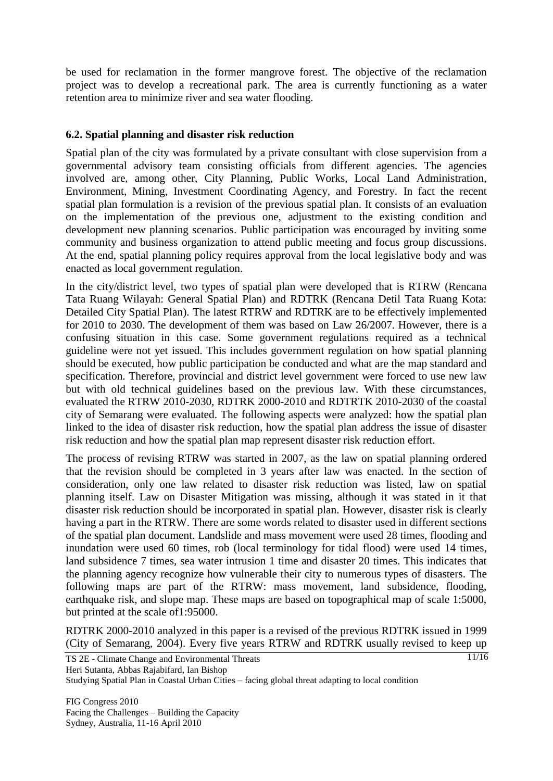be used for reclamation in the former mangrove forest. The objective of the reclamation project was to develop a recreational park. The area is currently functioning as a water retention area to minimize river and sea water flooding.

### **6.2. Spatial planning and disaster risk reduction**

Spatial plan of the city was formulated by a private consultant with close supervision from a governmental advisory team consisting officials from different agencies. The agencies involved are, among other, City Planning, Public Works, Local Land Administration, Environment, Mining, Investment Coordinating Agency, and Forestry. In fact the recent spatial plan formulation is a revision of the previous spatial plan. It consists of an evaluation on the implementation of the previous one, adjustment to the existing condition and development new planning scenarios. Public participation was encouraged by inviting some community and business organization to attend public meeting and focus group discussions. At the end, spatial planning policy requires approval from the local legislative body and was enacted as local government regulation.

In the city/district level, two types of spatial plan were developed that is RTRW (Rencana Tata Ruang Wilayah: General Spatial Plan) and RDTRK (Rencana Detil Tata Ruang Kota: Detailed City Spatial Plan). The latest RTRW and RDTRK are to be effectively implemented for 2010 to 2030. The development of them was based on Law 26/2007. However, there is a confusing situation in this case. Some government regulations required as a technical guideline were not yet issued. This includes government regulation on how spatial planning should be executed, how public participation be conducted and what are the map standard and specification. Therefore, provincial and district level government were forced to use new law but with old technical guidelines based on the previous law. With these circumstances, evaluated the RTRW 2010-2030, RDTRK 2000-2010 and RDTRTK 2010-2030 of the coastal city of Semarang were evaluated. The following aspects were analyzed: how the spatial plan linked to the idea of disaster risk reduction, how the spatial plan address the issue of disaster risk reduction and how the spatial plan map represent disaster risk reduction effort.

The process of revising RTRW was started in 2007, as the law on spatial planning ordered that the revision should be completed in 3 years after law was enacted. In the section of consideration, only one law related to disaster risk reduction was listed, law on spatial planning itself. Law on Disaster Mitigation was missing, although it was stated in it that disaster risk reduction should be incorporated in spatial plan. However, disaster risk is clearly having a part in the RTRW. There are some words related to disaster used in different sections of the spatial plan document. Landslide and mass movement were used 28 times, flooding and inundation were used 60 times, rob (local terminology for tidal flood) were used 14 times, land subsidence 7 times, sea water intrusion 1 time and disaster 20 times. This indicates that the planning agency recognize how vulnerable their city to numerous types of disasters. The following maps are part of the RTRW: mass movement, land subsidence, flooding, earthquake risk, and slope map. These maps are based on topographical map of scale 1:5000, but printed at the scale of1:95000.

RDTRK 2000-2010 analyzed in this paper is a revised of the previous RDTRK issued in 1999 (City of Semarang, 2004). Every five years RTRW and RDTRK usually revised to keep up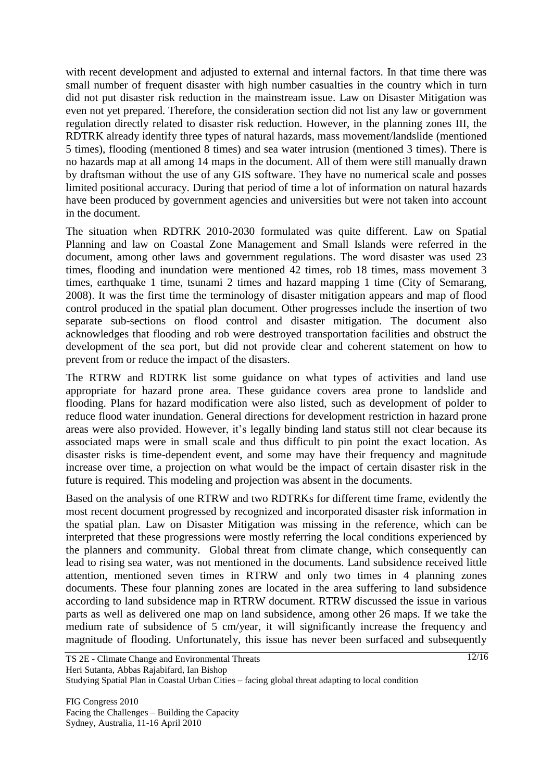with recent development and adjusted to external and internal factors. In that time there was small number of frequent disaster with high number casualties in the country which in turn did not put disaster risk reduction in the mainstream issue. Law on Disaster Mitigation was even not yet prepared. Therefore, the consideration section did not list any law or government regulation directly related to disaster risk reduction. However, in the planning zones III, the RDTRK already identify three types of natural hazards, mass movement/landslide (mentioned 5 times), flooding (mentioned 8 times) and sea water intrusion (mentioned 3 times). There is no hazards map at all among 14 maps in the document. All of them were still manually drawn by draftsman without the use of any GIS software. They have no numerical scale and posses limited positional accuracy. During that period of time a lot of information on natural hazards have been produced by government agencies and universities but were not taken into account in the document.

The situation when RDTRK 2010-2030 formulated was quite different. Law on Spatial Planning and law on Coastal Zone Management and Small Islands were referred in the document, among other laws and government regulations. The word disaster was used 23 times, flooding and inundation were mentioned 42 times, rob 18 times, mass movement 3 times, earthquake 1 time, tsunami 2 times and hazard mapping 1 time (City of Semarang, 2008). It was the first time the terminology of disaster mitigation appears and map of flood control produced in the spatial plan document. Other progresses include the insertion of two separate sub-sections on flood control and disaster mitigation. The document also acknowledges that flooding and rob were destroyed transportation facilities and obstruct the development of the sea port, but did not provide clear and coherent statement on how to prevent from or reduce the impact of the disasters.

The RTRW and RDTRK list some guidance on what types of activities and land use appropriate for hazard prone area. These guidance covers area prone to landslide and flooding. Plans for hazard modification were also listed, such as development of polder to reduce flood water inundation. General directions for development restriction in hazard prone areas were also provided. However, it's legally binding land status still not clear because its associated maps were in small scale and thus difficult to pin point the exact location. As disaster risks is time-dependent event, and some may have their frequency and magnitude increase over time, a projection on what would be the impact of certain disaster risk in the future is required. This modeling and projection was absent in the documents.

Based on the analysis of one RTRW and two RDTRKs for different time frame, evidently the most recent document progressed by recognized and incorporated disaster risk information in the spatial plan. Law on Disaster Mitigation was missing in the reference, which can be interpreted that these progressions were mostly referring the local conditions experienced by the planners and community. Global threat from climate change, which consequently can lead to rising sea water, was not mentioned in the documents. Land subsidence received little attention, mentioned seven times in RTRW and only two times in 4 planning zones documents. These four planning zones are located in the area suffering to land subsidence according to land subsidence map in RTRW document. RTRW discussed the issue in various parts as well as delivered one map on land subsidence, among other 26 maps. If we take the medium rate of subsidence of 5 cm/year, it will significantly increase the frequency and magnitude of flooding. Unfortunately, this issue has never been surfaced and subsequently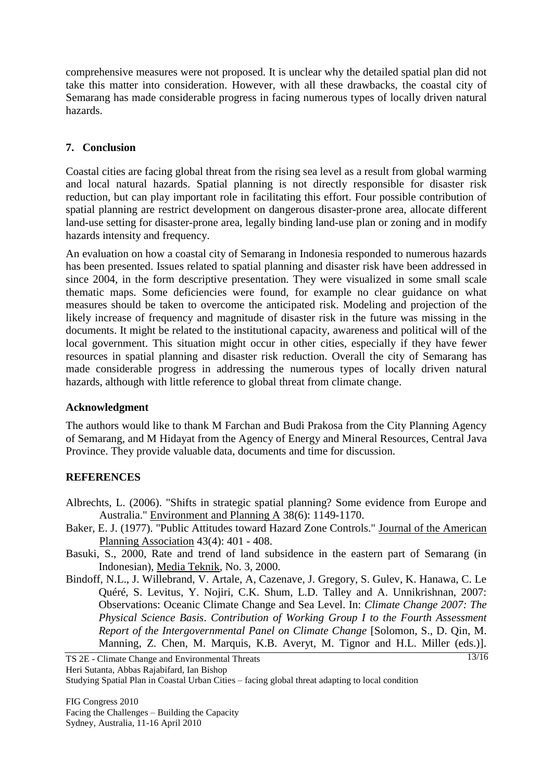comprehensive measures were not proposed. It is unclear why the detailed spatial plan did not take this matter into consideration. However, with all these drawbacks, the coastal city of Semarang has made considerable progress in facing numerous types of locally driven natural hazards.

### **7. Conclusion**

Coastal cities are facing global threat from the rising sea level as a result from global warming and local natural hazards. Spatial planning is not directly responsible for disaster risk reduction, but can play important role in facilitating this effort. Four possible contribution of spatial planning are restrict development on dangerous disaster-prone area, allocate different land-use setting for disaster-prone area, legally binding land-use plan or zoning and in modify hazards intensity and frequency.

An evaluation on how a coastal city of Semarang in Indonesia responded to numerous hazards has been presented. Issues related to spatial planning and disaster risk have been addressed in since 2004, in the form descriptive presentation. They were visualized in some small scale thematic maps. Some deficiencies were found, for example no clear guidance on what measures should be taken to overcome the anticipated risk. Modeling and projection of the likely increase of frequency and magnitude of disaster risk in the future was missing in the documents. It might be related to the institutional capacity, awareness and political will of the local government. This situation might occur in other cities, especially if they have fewer resources in spatial planning and disaster risk reduction. Overall the city of Semarang has made considerable progress in addressing the numerous types of locally driven natural hazards, although with little reference to global threat from climate change.

#### **Acknowledgment**

The authors would like to thank M Farchan and Budi Prakosa from the City Planning Agency of Semarang, and M Hidayat from the Agency of Energy and Mineral Resources, Central Java Province. They provide valuable data, documents and time for discussion.

### **REFERENCES**

- Albrechts, L. (2006). "Shifts in strategic spatial planning? Some evidence from Europe and Australia." Environment and Planning A 38(6): 1149-1170.
- Baker, E. J. (1977). "Public Attitudes toward Hazard Zone Controls." Journal of the American Planning Association 43(4): 401 - 408.
- Basuki, S., 2000, Rate and trend of land subsidence in the eastern part of Semarang (in Indonesian), Media Teknik, No. 3, 2000.
- Bindoff, N.L., J. Willebrand, V. Artale, A, Cazenave, J. Gregory, S. Gulev, K. Hanawa, C. Le Quéré, S. Levitus, Y. Nojiri, C.K. Shum, L.D. Talley and A. Unnikrishnan, 2007: Observations: Oceanic Climate Change and Sea Level. In: *Climate Change 2007: The Physical Science Basis*. *Contribution of Working Group I to the Fourth Assessment Report of the Intergovernmental Panel on Climate Change* [Solomon, S., D. Qin, M. Manning, Z. Chen, M. Marquis, K.B. Averyt, M. Tignor and H.L. Miller (eds.)].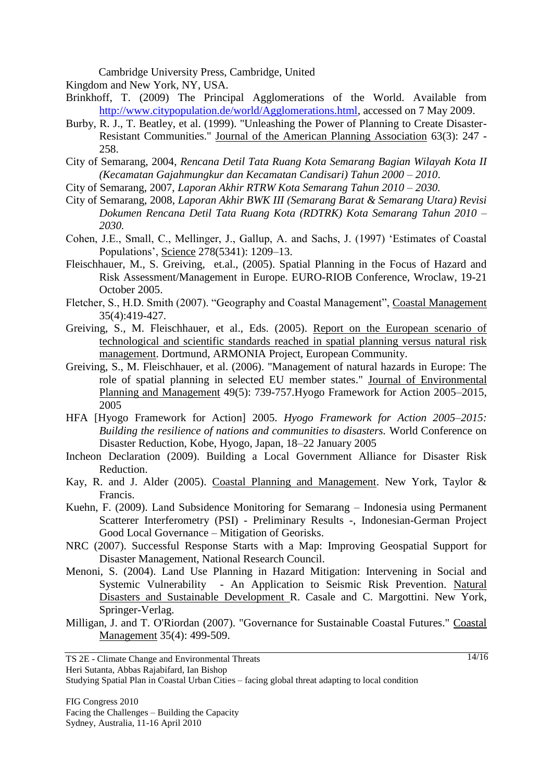Cambridge University Press, Cambridge, United

Kingdom and New York, NY, USA.

- Brinkhoff, T. (2009) The Principal Agglomerations of the World. Available from [http://www.citypopulation.de/world/Agglomerations.html,](http://www.citypopulation.de/world/Agglomerations.html) accessed on 7 May 2009.
- Burby, R. J., T. Beatley, et al. (1999). "Unleashing the Power of Planning to Create Disaster-Resistant Communities." Journal of the American Planning Association 63(3): 247 - 258.
- City of Semarang, 2004, *Rencana Detil Tata Ruang Kota Semarang Bagian Wilayah Kota II (Kecamatan Gajahmungkur dan Kecamatan Candisari) Tahun 2000 – 2010*.
- City of Semarang, 2007, *Laporan Akhir RTRW Kota Semarang Tahun 2010 – 2030.*
- City of Semarang, 2008, *Laporan Akhir BWK III (Semarang Barat & Semarang Utara) Revisi Dokumen Rencana Detil Tata Ruang Kota (RDTRK) Kota Semarang Tahun 2010 – 2030.*
- Cohen, J.E., Small, C., Mellinger, J., Gallup, A. and Sachs, J. (1997) "Estimates of Coastal Populations", Science 278(5341): 1209–13.
- Fleischhauer, M., S. Greiving, et.al., (2005). Spatial Planning in the Focus of Hazard and Risk Assessment/Management in Europe. EURO-RIOB Conference, Wroclaw, 19-21 October 2005.
- Fletcher, S., H.D. Smith (2007). "Geography and Coastal Management", Coastal Management 35(4):419-427.
- Greiving, S., M. Fleischhauer, et al., Eds. (2005). Report on the European scenario of technological and scientific standards reached in spatial planning versus natural risk management. Dortmund, ARMONIA Project, European Community.
- Greiving, S., M. Fleischhauer, et al. (2006). "Management of natural hazards in Europe: The role of spatial planning in selected EU member states." Journal of Environmental Planning and Management 49(5): 739-757.Hyogo Framework for Action 2005–2015, 2005
- HFA [Hyogo Framework for Action] 2005. *Hyogo Framework for Action 2005–2015: Building the resilience of nations and communities to disasters.* World Conference on Disaster Reduction, Kobe, Hyogo, Japan, 18–22 January 2005
- Incheon Declaration (2009). Building a Local Government Alliance for Disaster Risk Reduction.
- Kay, R. and J. Alder (2005). Coastal Planning and Management. New York, Taylor & Francis.
- Kuehn, F. (2009). Land Subsidence Monitoring for Semarang Indonesia using Permanent Scatterer Interferometry (PSI) - Preliminary Results -, Indonesian-German Project Good Local Governance – Mitigation of Georisks.
- NRC (2007). Successful Response Starts with a Map: Improving Geospatial Support for Disaster Management, National Research Council.
- Menoni, S. (2004). Land Use Planning in Hazard Mitigation: Intervening in Social and Systemic Vulnerability - An Application to Seismic Risk Prevention. Natural Disasters and Sustainable Development R. Casale and C. Margottini. New York, Springer-Verlag.
- Milligan, J. and T. O'Riordan (2007). "Governance for Sustainable Coastal Futures." Coastal Management 35(4): 499-509.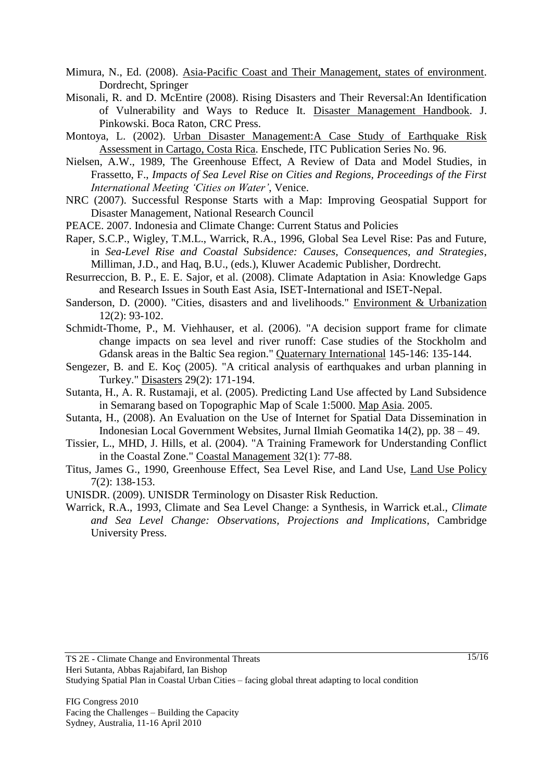- Mimura, N., Ed. (2008). Asia-Pacific Coast and Their Management, states of environment. Dordrecht, Springer
- Misonali, R. and D. McEntire (2008). Rising Disasters and Their Reversal:An Identification of Vulnerability and Ways to Reduce It. Disaster Management Handbook. J. Pinkowski. Boca Raton, CRC Press.
- Montoya, L. (2002). Urban Disaster Management:A Case Study of Earthquake Risk Assessment in Cartago, Costa Rica. Enschede, ITC Publication Series No. 96.
- Nielsen, A.W., 1989, The Greenhouse Effect, A Review of Data and Model Studies, in Frassetto, F., *Impacts of Sea Level Rise on Cities and Regions, Proceedings of the First International Meeting 'Cities on Water'*, Venice.
- NRC (2007). Successful Response Starts with a Map: Improving Geospatial Support for Disaster Management, National Research Council
- PEACE. 2007. Indonesia and Climate Change: Current Status and Policies
- Raper, S.C.P., Wigley, T.M.L., Warrick, R.A., 1996, Global Sea Level Rise: Pas and Future, in *Sea-Level Rise and Coastal Subsidence: Causes, Consequences, and Strategies*, Milliman, J.D., and Haq, B.U., (eds.), Kluwer Academic Publisher, Dordrecht.
- Resurreccion, B. P., E. E. Sajor, et al. (2008). Climate Adaptation in Asia: Knowledge Gaps and Research Issues in South East Asia, ISET-International and ISET-Nepal.
- Sanderson, D. (2000). "Cities, disasters and and livelihoods." Environment & Urbanization 12(2): 93-102.
- Schmidt-Thome, P., M. Viehhauser, et al. (2006). "A decision support frame for climate change impacts on sea level and river runoff: Case studies of the Stockholm and Gdansk areas in the Baltic Sea region." Quaternary International 145-146: 135-144.
- Sengezer, B. and E. Koç (2005). "A critical analysis of earthquakes and urban planning in Turkey." Disasters 29(2): 171-194.
- Sutanta, H., A. R. Rustamaji, et al. (2005). Predicting Land Use affected by Land Subsidence in Semarang based on Topographic Map of Scale 1:5000. Map Asia. 2005.
- Sutanta, H., (2008). An Evaluation on the Use of Internet for Spatial Data Dissemination in Indonesian Local Government Websites, Jurnal Ilmiah Geomatika 14(2), pp. 38 – 49.
- Tissier, L., MHD, J. Hills, et al. (2004). "A Training Framework for Understanding Conflict in the Coastal Zone." Coastal Management 32(1): 77-88.
- Titus, James G., 1990, Greenhouse Effect, Sea Level Rise, and Land Use, Land Use Policy 7(2): 138-153.
- UNISDR. (2009). UNISDR Terminology on Disaster Risk Reduction.
- Warrick, R.A., 1993, Climate and Sea Level Change: a Synthesis, in Warrick et.al., *Climate and Sea Level Change: Observations, Projections and Implications*, Cambridge University Press.